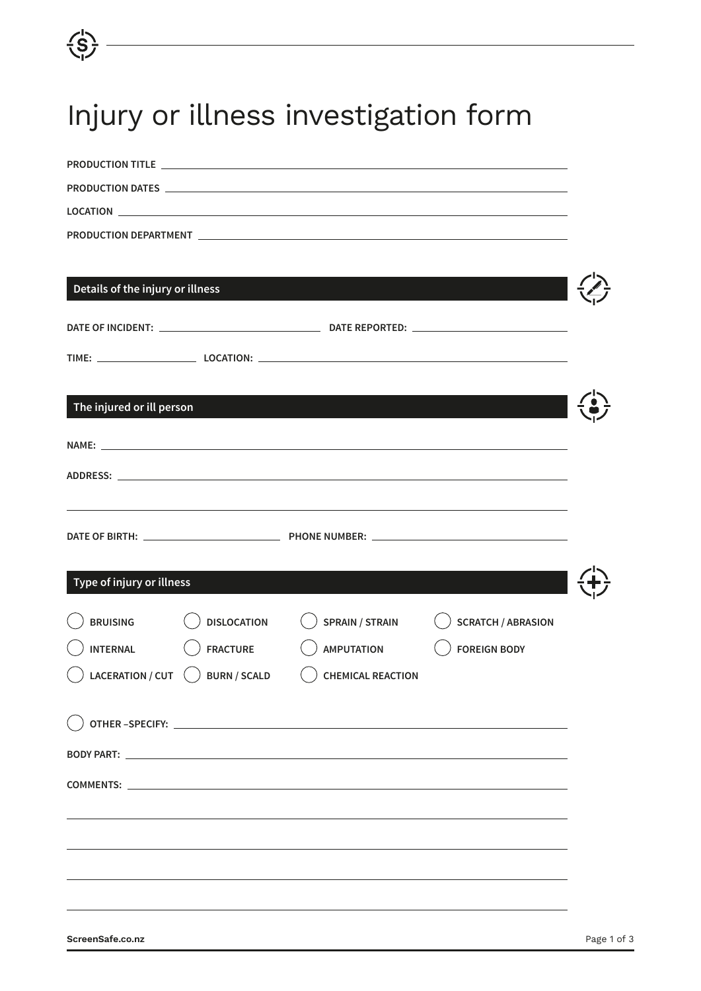## Injury or illness investigation form

| Details of the injury or illness |                     |                                                                                                                                                                                                                                |                           |  |
|----------------------------------|---------------------|--------------------------------------------------------------------------------------------------------------------------------------------------------------------------------------------------------------------------------|---------------------------|--|
|                                  |                     |                                                                                                                                                                                                                                |                           |  |
|                                  |                     |                                                                                                                                                                                                                                |                           |  |
|                                  |                     |                                                                                                                                                                                                                                |                           |  |
|                                  |                     |                                                                                                                                                                                                                                |                           |  |
| The injured or ill person        |                     |                                                                                                                                                                                                                                |                           |  |
|                                  |                     | NAME: North and the contract of the contract of the contract of the contract of the contract of the contract of the contract of the contract of the contract of the contract of the contract of the contract of the contract o |                           |  |
|                                  |                     |                                                                                                                                                                                                                                |                           |  |
|                                  |                     |                                                                                                                                                                                                                                |                           |  |
|                                  |                     |                                                                                                                                                                                                                                |                           |  |
|                                  |                     |                                                                                                                                                                                                                                |                           |  |
| Type of injury or illness        |                     | $\mathcal{L}^{\text{max}}_{\text{max}}$ and $\mathcal{L}^{\text{max}}_{\text{max}}$ and $\mathcal{L}^{\text{max}}_{\text{max}}$ and $\mathcal{L}^{\text{max}}_{\text{max}}$                                                    |                           |  |
|                                  |                     |                                                                                                                                                                                                                                |                           |  |
| <b>BRUISING</b>                  | <b>DISLOCATION</b>  | <b>SPRAIN / STRAIN</b>                                                                                                                                                                                                         | <b>SCRATCH / ABRASION</b> |  |
| <b>INTERNAL</b>                  | <b>FRACTURE</b>     | <b>AMPUTATION</b>                                                                                                                                                                                                              | <b>FOREIGN BODY</b>       |  |
| <b>LACERATION / CUT</b>          | <b>BURN / SCALD</b> | <b>CHEMICAL REACTION</b>                                                                                                                                                                                                       |                           |  |
|                                  |                     |                                                                                                                                                                                                                                |                           |  |
|                                  |                     |                                                                                                                                                                                                                                |                           |  |
|                                  |                     |                                                                                                                                                                                                                                |                           |  |
|                                  |                     | COMMENTS: Later and the community of the community of the community of the community of the community of the community of the community of the community of the community of the community of the community of the community o |                           |  |
|                                  |                     |                                                                                                                                                                                                                                |                           |  |
|                                  |                     |                                                                                                                                                                                                                                |                           |  |
|                                  |                     |                                                                                                                                                                                                                                |                           |  |
|                                  |                     |                                                                                                                                                                                                                                |                           |  |

 $\overline{\overline{\overline{S}}}$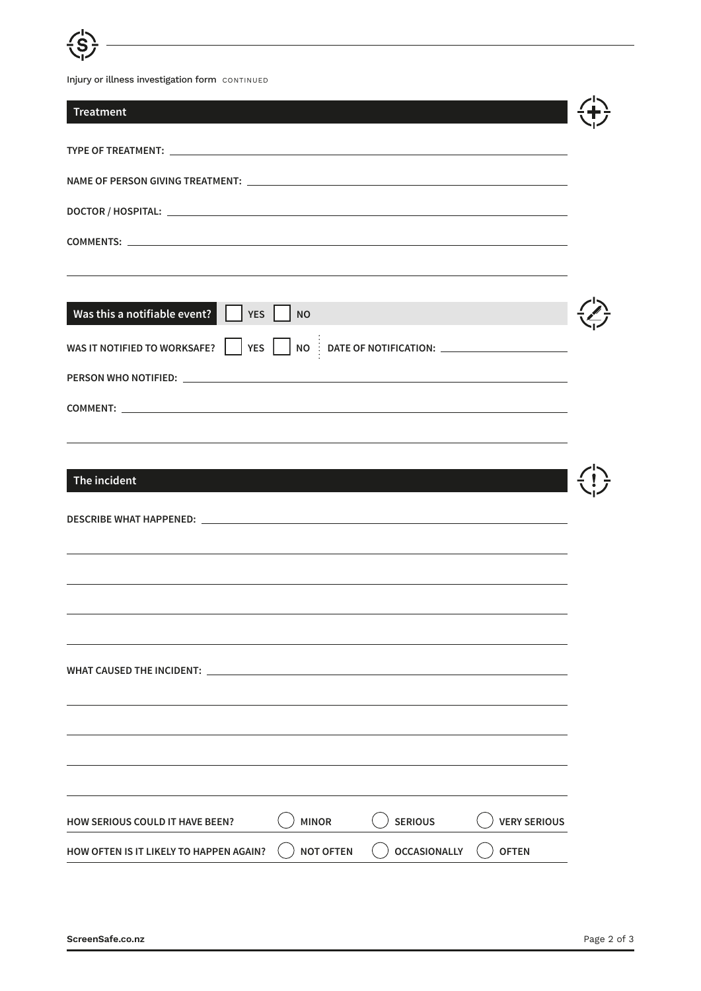

Injury or illness investigation form CONTINUED

| <b>Treatment</b>                                                                                                                             |                  |                     |                     |  |
|----------------------------------------------------------------------------------------------------------------------------------------------|------------------|---------------------|---------------------|--|
|                                                                                                                                              |                  |                     |                     |  |
|                                                                                                                                              |                  |                     |                     |  |
|                                                                                                                                              |                  |                     |                     |  |
|                                                                                                                                              |                  |                     |                     |  |
| Was this a notifiable event? $\Box$ YES $\Box$ NO<br>WAS IT NOTIFIED TO WORKSAFE? $\Box$ YES $\Box$ NO $\vdots$ DATE OF NOTIFICATION: $\Box$ |                  |                     |                     |  |
|                                                                                                                                              |                  |                     |                     |  |
|                                                                                                                                              |                  |                     |                     |  |
| The incident                                                                                                                                 |                  |                     |                     |  |
|                                                                                                                                              |                  |                     |                     |  |
|                                                                                                                                              |                  |                     |                     |  |
| WHAT CAUSED THE INCIDENT:                                                                                                                    |                  |                     |                     |  |
|                                                                                                                                              |                  |                     |                     |  |
|                                                                                                                                              |                  |                     |                     |  |
| <b>HOW SERIOUS COULD IT HAVE BEEN?</b>                                                                                                       | <b>MINOR</b>     | <b>SERIOUS</b>      | <b>VERY SERIOUS</b> |  |
| HOW OFTEN IS IT LIKELY TO HAPPEN AGAIN?                                                                                                      | <b>NOT OFTEN</b> | <b>OCCASIONALLY</b> | <b>OFTEN</b>        |  |